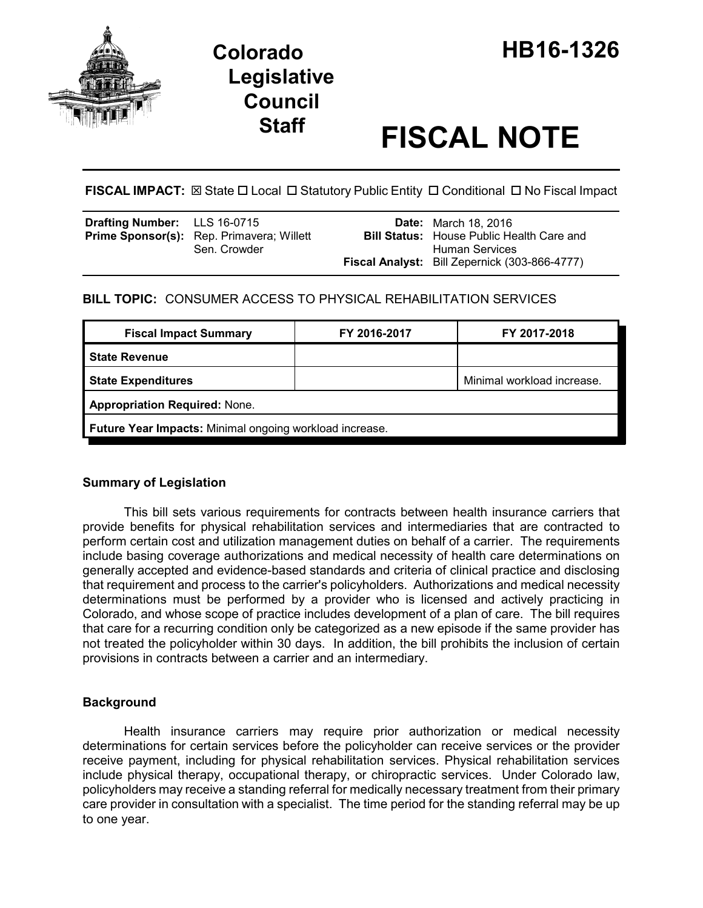

# **Staff FISCAL NOTE**

**FISCAL IMPACT:**  $\boxtimes$  State  $\Box$  Local  $\Box$  Statutory Public Entity  $\Box$  Conditional  $\Box$  No Fiscal Impact

| <b>Drafting Number:</b> LLS 16-0715 | <b>Prime Sponsor(s):</b> Rep. Primavera; Willett | <b>Date:</b> March 18, 2016<br><b>Bill Status:</b> House Public Health Care and |
|-------------------------------------|--------------------------------------------------|---------------------------------------------------------------------------------|
|                                     | Sen. Crowder                                     | <b>Human Services</b>                                                           |
|                                     |                                                  | <b>Fiscal Analyst:</b> Bill Zepernick (303-866-4777)                            |

## **BILL TOPIC:** CONSUMER ACCESS TO PHYSICAL REHABILITATION SERVICES

| <b>Fiscal Impact Summary</b>                            | FY 2016-2017 | FY 2017-2018               |  |  |
|---------------------------------------------------------|--------------|----------------------------|--|--|
| <b>State Revenue</b>                                    |              |                            |  |  |
| <b>State Expenditures</b>                               |              | Minimal workload increase. |  |  |
| <b>Appropriation Required: None.</b>                    |              |                            |  |  |
| Future Year Impacts: Minimal ongoing workload increase. |              |                            |  |  |

## **Summary of Legislation**

This bill sets various requirements for contracts between health insurance carriers that provide benefits for physical rehabilitation services and intermediaries that are contracted to perform certain cost and utilization management duties on behalf of a carrier. The requirements include basing coverage authorizations and medical necessity of health care determinations on generally accepted and evidence-based standards and criteria of clinical practice and disclosing that requirement and process to the carrier's policyholders. Authorizations and medical necessity determinations must be performed by a provider who is licensed and actively practicing in Colorado, and whose scope of practice includes development of a plan of care. The bill requires that care for a recurring condition only be categorized as a new episode if the same provider has not treated the policyholder within 30 days. In addition, the bill prohibits the inclusion of certain provisions in contracts between a carrier and an intermediary.

## **Background**

Health insurance carriers may require prior authorization or medical necessity determinations for certain services before the policyholder can receive services or the provider receive payment, including for physical rehabilitation services. Physical rehabilitation services include physical therapy, occupational therapy, or chiropractic services. Under Colorado law, policyholders may receive a standing referral for medically necessary treatment from their primary care provider in consultation with a specialist. The time period for the standing referral may be up to one year.